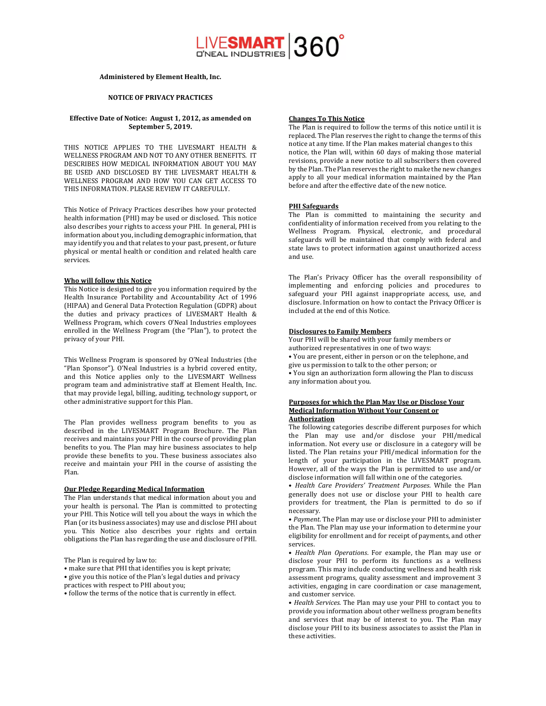# LIVESMART 360°

## **Administered by Element Health, Inc.**

# **NOTICE OF PRIVACY PRACTICES**

## **Effective Date of Notice: August 1, 2012, as amended on September 5, 2019.**

THIS NOTICE APPLIES TO THE LIVESMART HEALTH & WELLNESS PROGRAM AND NOT TO ANY OTHER BENEFITS. IT DESCRIBES HOW MEDICAL INFORMATION ABOUT YOU MAY BE USED AND DISCLOSED BY THE LIVESMART HEALTH & WELLNESS PROGRAM AND HOW YOU CAN GET ACCESS TO THIS INFORMATION. PLEASE REVIEW IT CAREFULLY.

This Notice of Privacy Practices describes how your protected health information (PHI) may be used or disclosed. This notice also describes your rights to access your PHI. In general, PHI is information about you, including demographic information, that may identify you and that relates to your past, present, or future physical or mental health or condition and related health care services. 

## **Who will follow this Notice**

This Notice is designed to give you information required by the Health Insurance Portability and Accountability Act of 1996 (HIPAA) and General Data Protection Regulation (GDPR) about the duties and privacy practices of LIVESMART Health & Wellness Program, which covers O'Neal Industries employees enrolled in the Wellness Program (the "Plan"), to protect the privacy of your PHI.

This Wellness Program is sponsored by O'Neal Industries (the "Plan Sponsor"). O'Neal Industries is a hybrid covered entity, and this Notice applies only to the LIVESMART Wellness program team and administrative staff at Element Health, Inc. that may provide legal, billing, auditing, technology support, or other administrative support for this Plan.

The Plan provides wellness program benefits to you as described in the LIVESMART Program Brochure. The Plan receives and maintains your PHI in the course of providing plan benefits to you. The Plan may hire business associates to help provide these benefits to you. These business associates also receive and maintain your PHI in the course of assisting the Plan. 

# **Our Pledge Regarding Medical Information**

The Plan understands that medical information about you and your health is personal. The Plan is committed to protecting your PHI. This Notice will tell you about the ways in which the Plan (or its business associates) may use and disclose PHI about you. This Notice also describes your rights and certain obligations the Plan has regarding the use and disclosure of PHI.

The Plan is required by law to:

• make sure that PHI that identifies you is kept private;

• give you this notice of the Plan's legal duties and privacy

- practices with respect to PHI about you;
- follow the terms of the notice that is currently in effect.

#### **Changes To This Notice**

The Plan is required to follow the terms of this notice until it is replaced. The Plan reserves the right to change the terms of this notice at any time. If the Plan makes material changes to this notice, the Plan will, within 60 days of making those material revisions, provide a new notice to all subscribers then covered by the Plan. The Plan reserves the right to make the new changes apply to all your medical information maintained by the Plan before and after the effective date of the new notice.

#### **PHI** Safeguards

The Plan is committed to maintaining the security and confidentiality of information received from you relating to the Wellness Program. Physical, electronic, and procedural safeguards will be maintained that comply with federal and state laws to protect information against unauthorized access and use.

The Plan's Privacy Officer has the overall responsibility of implementing and enforcing policies and procedures to safeguard your PHI against inappropriate access, use, and disclosure. Information on how to contact the Privacy Officer is included at the end of this Notice.

#### **Disclosures to Family Members**

Your PHI will be shared with your family members or authorized representatives in one of two ways: • You are present, either in person or on the telephone, and give us permission to talk to the other person; or • You sign an authorization form allowing the Plan to discuss any information about you.

#### **Purposes for which the Plan May Use or Disclose Your Medical Information Without Your Consent or Authorization**

The following categories describe different purposes for which the Plan may use and/or disclose your PHI/medical information. Not every use or disclosure in a category will be listed. The Plan retains your PHI/medical information for the length of your participation in the LIVESMART program. However, all of the ways the Plan is permitted to use and/or disclose information will fall within one of the categories.

• *Health Care Providers' Treatment Purposes*. While the Plan generally does not use or disclose your PHI to health care providers for treatment, the Plan is permitted to do so if necessary.

• Payment. The Plan may use or disclose your PHI to administer the Plan. The Plan may use your information to determine your eligibility for enrollment and for receipt of payments, and other services. 

• *Health Plan Operations*. For example, the Plan may use or disclose your PHI to perform its functions as a wellness program. This may include conducting wellness and health risk assessment programs, quality assessment and improvement 3 activities, engaging in care coordination or case management, and customer service.

• *Health Services*. The Plan may use your PHI to contact you to provide you information about other wellness program benefits and services that may be of interest to you. The Plan may disclose your PHI to its business associates to assist the Plan in these activities.